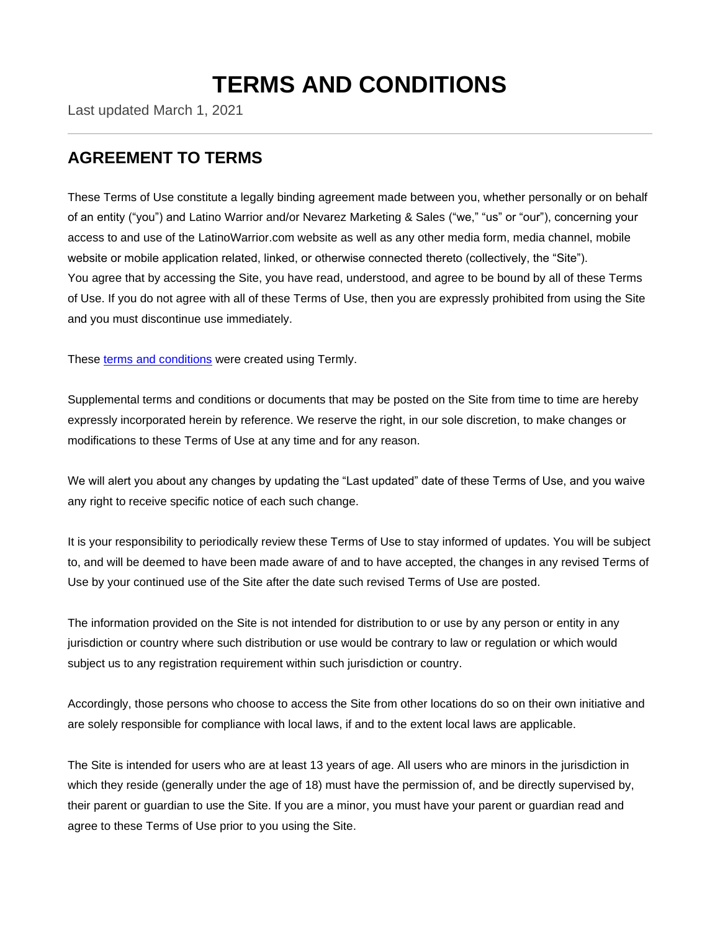# **TERMS AND CONDITIONS**

Last updated March 1, 2021

### **AGREEMENT TO TERMS**

These Terms of Use constitute a legally binding agreement made between you, whether personally or on behalf of an entity ("you") and Latino Warrior and/or Nevarez Marketing & Sales ("we," "us" or "our"), concerning your access to and use of the LatinoWarrior.com website as well as any other media form, media channel, mobile website or mobile application related, linked, or otherwise connected thereto (collectively, the "Site"). You agree that by accessing the Site, you have read, understood, and agree to be bound by all of these Terms of Use. If you do not agree with all of these Terms of Use, then you are expressly prohibited from using the Site and you must discontinue use immediately.

These [terms and conditions](https://termly.io/resources/templates/terms-and-conditions-template/) were created using Termly.

Supplemental terms and conditions or documents that may be posted on the Site from time to time are hereby expressly incorporated herein by reference. We reserve the right, in our sole discretion, to make changes or modifications to these Terms of Use at any time and for any reason.

We will alert you about any changes by updating the "Last updated" date of these Terms of Use, and you waive any right to receive specific notice of each such change.

It is your responsibility to periodically review these Terms of Use to stay informed of updates. You will be subject to, and will be deemed to have been made aware of and to have accepted, the changes in any revised Terms of Use by your continued use of the Site after the date such revised Terms of Use are posted.

The information provided on the Site is not intended for distribution to or use by any person or entity in any jurisdiction or country where such distribution or use would be contrary to law or regulation or which would subject us to any registration requirement within such jurisdiction or country.

Accordingly, those persons who choose to access the Site from other locations do so on their own initiative and are solely responsible for compliance with local laws, if and to the extent local laws are applicable.

The Site is intended for users who are at least 13 years of age. All users who are minors in the jurisdiction in which they reside (generally under the age of 18) must have the permission of, and be directly supervised by, their parent or guardian to use the Site. If you are a minor, you must have your parent or guardian read and agree to these Terms of Use prior to you using the Site.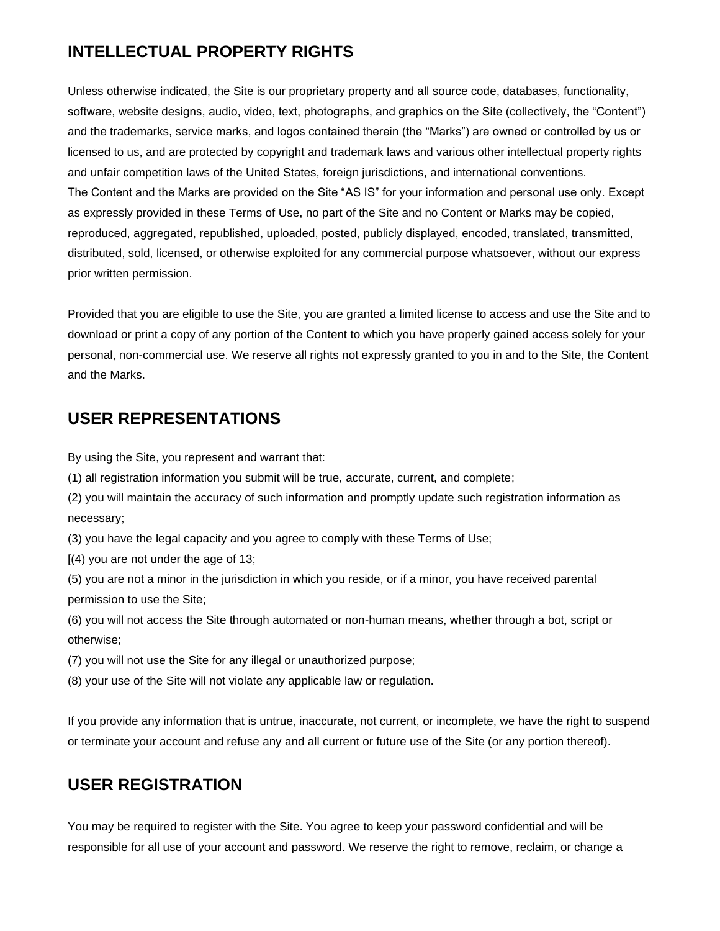# **INTELLECTUAL PROPERTY RIGHTS**

Unless otherwise indicated, the Site is our proprietary property and all source code, databases, functionality, software, website designs, audio, video, text, photographs, and graphics on the Site (collectively, the "Content") and the trademarks, service marks, and logos contained therein (the "Marks") are owned or controlled by us or licensed to us, and are protected by copyright and trademark laws and various other intellectual property rights and unfair competition laws of the United States, foreign jurisdictions, and international conventions. The Content and the Marks are provided on the Site "AS IS" for your information and personal use only. Except as expressly provided in these Terms of Use, no part of the Site and no Content or Marks may be copied, reproduced, aggregated, republished, uploaded, posted, publicly displayed, encoded, translated, transmitted, distributed, sold, licensed, or otherwise exploited for any commercial purpose whatsoever, without our express prior written permission.

Provided that you are eligible to use the Site, you are granted a limited license to access and use the Site and to download or print a copy of any portion of the Content to which you have properly gained access solely for your personal, non-commercial use. We reserve all rights not expressly granted to you in and to the Site, the Content and the Marks.

### **USER REPRESENTATIONS**

By using the Site, you represent and warrant that:

- (1) all registration information you submit will be true, accurate, current, and complete;
- (2) you will maintain the accuracy of such information and promptly update such registration information as necessary;
- (3) you have the legal capacity and you agree to comply with these Terms of Use;
- $(4)$  you are not under the age of 13;
- (5) you are not a minor in the jurisdiction in which you reside, or if a minor, you have received parental permission to use the Site;
- (6) you will not access the Site through automated or non-human means, whether through a bot, script or otherwise;
- (7) you will not use the Site for any illegal or unauthorized purpose;
- (8) your use of the Site will not violate any applicable law or regulation.

If you provide any information that is untrue, inaccurate, not current, or incomplete, we have the right to suspend or terminate your account and refuse any and all current or future use of the Site (or any portion thereof).

### **USER REGISTRATION**

You may be required to register with the Site. You agree to keep your password confidential and will be responsible for all use of your account and password. We reserve the right to remove, reclaim, or change a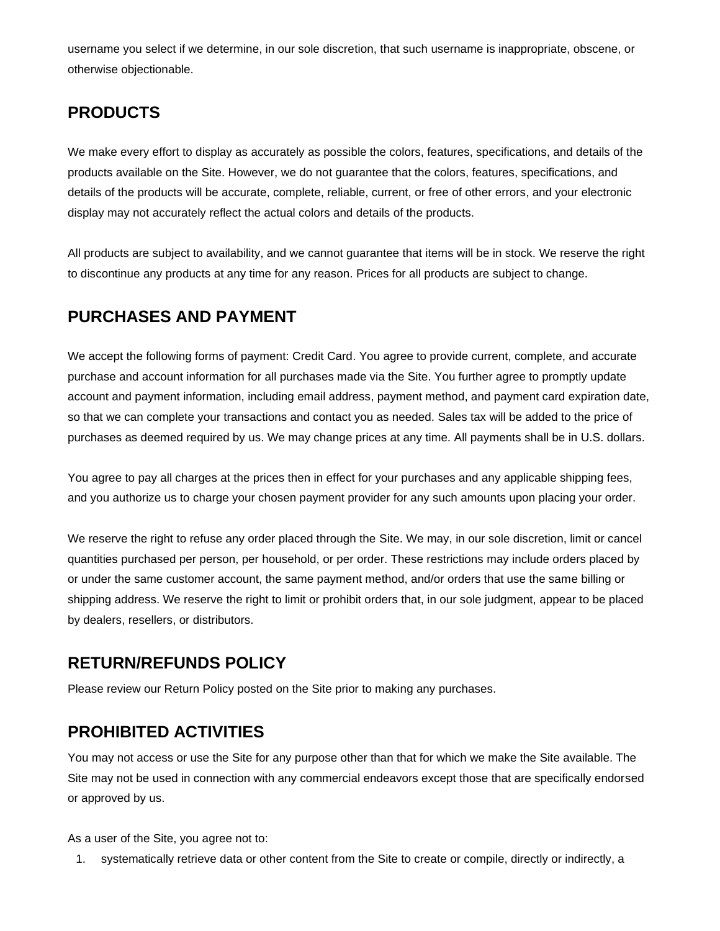username you select if we determine, in our sole discretion, that such username is inappropriate, obscene, or otherwise objectionable.

# **PRODUCTS**

We make every effort to display as accurately as possible the colors, features, specifications, and details of the products available on the Site. However, we do not guarantee that the colors, features, specifications, and details of the products will be accurate, complete, reliable, current, or free of other errors, and your electronic display may not accurately reflect the actual colors and details of the products.

All products are subject to availability, and we cannot guarantee that items will be in stock. We reserve the right to discontinue any products at any time for any reason. Prices for all products are subject to change.

# **PURCHASES AND PAYMENT**

We accept the following forms of payment: Credit Card. You agree to provide current, complete, and accurate purchase and account information for all purchases made via the Site. You further agree to promptly update account and payment information, including email address, payment method, and payment card expiration date, so that we can complete your transactions and contact you as needed. Sales tax will be added to the price of purchases as deemed required by us. We may change prices at any time. All payments shall be in U.S. dollars.

You agree to pay all charges at the prices then in effect for your purchases and any applicable shipping fees, and you authorize us to charge your chosen payment provider for any such amounts upon placing your order.

We reserve the right to refuse any order placed through the Site. We may, in our sole discretion, limit or cancel quantities purchased per person, per household, or per order. These restrictions may include orders placed by or under the same customer account, the same payment method, and/or orders that use the same billing or shipping address. We reserve the right to limit or prohibit orders that, in our sole judgment, appear to be placed by dealers, resellers, or distributors.

### **RETURN/REFUNDS POLICY**

Please review our Return Policy posted on the Site prior to making any purchases.

# **PROHIBITED ACTIVITIES**

You may not access or use the Site for any purpose other than that for which we make the Site available. The Site may not be used in connection with any commercial endeavors except those that are specifically endorsed or approved by us.

As a user of the Site, you agree not to:

1. systematically retrieve data or other content from the Site to create or compile, directly or indirectly, a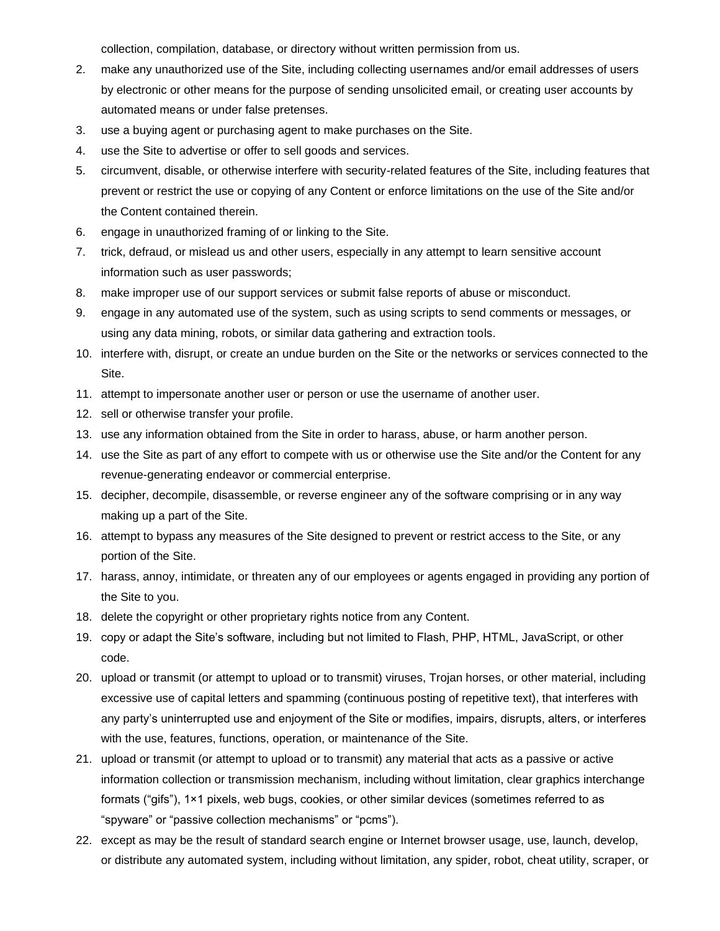collection, compilation, database, or directory without written permission from us.

- 2. make any unauthorized use of the Site, including collecting usernames and/or email addresses of users by electronic or other means for the purpose of sending unsolicited email, or creating user accounts by automated means or under false pretenses.
- 3. use a buying agent or purchasing agent to make purchases on the Site.
- 4. use the Site to advertise or offer to sell goods and services.
- 5. circumvent, disable, or otherwise interfere with security-related features of the Site, including features that prevent or restrict the use or copying of any Content or enforce limitations on the use of the Site and/or the Content contained therein.
- 6. engage in unauthorized framing of or linking to the Site.
- 7. trick, defraud, or mislead us and other users, especially in any attempt to learn sensitive account information such as user passwords;
- 8. make improper use of our support services or submit false reports of abuse or misconduct.
- 9. engage in any automated use of the system, such as using scripts to send comments or messages, or using any data mining, robots, or similar data gathering and extraction tools.
- 10. interfere with, disrupt, or create an undue burden on the Site or the networks or services connected to the Site.
- 11. attempt to impersonate another user or person or use the username of another user.
- 12. sell or otherwise transfer your profile.
- 13. use any information obtained from the Site in order to harass, abuse, or harm another person.
- 14. use the Site as part of any effort to compete with us or otherwise use the Site and/or the Content for any revenue-generating endeavor or commercial enterprise.
- 15. decipher, decompile, disassemble, or reverse engineer any of the software comprising or in any way making up a part of the Site.
- 16. attempt to bypass any measures of the Site designed to prevent or restrict access to the Site, or any portion of the Site.
- 17. harass, annoy, intimidate, or threaten any of our employees or agents engaged in providing any portion of the Site to you.
- 18. delete the copyright or other proprietary rights notice from any Content.
- 19. copy or adapt the Site's software, including but not limited to Flash, PHP, HTML, JavaScript, or other code.
- 20. upload or transmit (or attempt to upload or to transmit) viruses, Trojan horses, or other material, including excessive use of capital letters and spamming (continuous posting of repetitive text), that interferes with any party's uninterrupted use and enjoyment of the Site or modifies, impairs, disrupts, alters, or interferes with the use, features, functions, operation, or maintenance of the Site.
- 21. upload or transmit (or attempt to upload or to transmit) any material that acts as a passive or active information collection or transmission mechanism, including without limitation, clear graphics interchange formats ("gifs"), 1×1 pixels, web bugs, cookies, or other similar devices (sometimes referred to as "spyware" or "passive collection mechanisms" or "pcms").
- 22. except as may be the result of standard search engine or Internet browser usage, use, launch, develop, or distribute any automated system, including without limitation, any spider, robot, cheat utility, scraper, or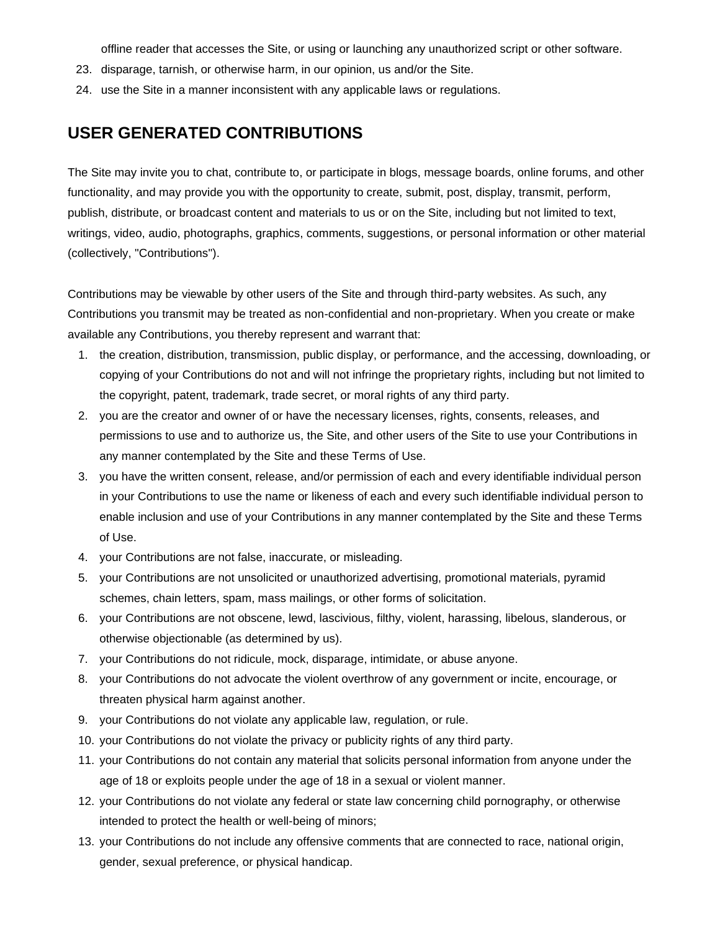offline reader that accesses the Site, or using or launching any unauthorized script or other software.

- 23. disparage, tarnish, or otherwise harm, in our opinion, us and/or the Site.
- 24. use the Site in a manner inconsistent with any applicable laws or regulations.

### **USER GENERATED CONTRIBUTIONS**

The Site may invite you to chat, contribute to, or participate in blogs, message boards, online forums, and other functionality, and may provide you with the opportunity to create, submit, post, display, transmit, perform, publish, distribute, or broadcast content and materials to us or on the Site, including but not limited to text, writings, video, audio, photographs, graphics, comments, suggestions, or personal information or other material (collectively, "Contributions").

Contributions may be viewable by other users of the Site and through third-party websites. As such, any Contributions you transmit may be treated as non-confidential and non-proprietary. When you create or make available any Contributions, you thereby represent and warrant that:

- 1. the creation, distribution, transmission, public display, or performance, and the accessing, downloading, or copying of your Contributions do not and will not infringe the proprietary rights, including but not limited to the copyright, patent, trademark, trade secret, or moral rights of any third party.
- 2. you are the creator and owner of or have the necessary licenses, rights, consents, releases, and permissions to use and to authorize us, the Site, and other users of the Site to use your Contributions in any manner contemplated by the Site and these Terms of Use.
- 3. you have the written consent, release, and/or permission of each and every identifiable individual person in your Contributions to use the name or likeness of each and every such identifiable individual person to enable inclusion and use of your Contributions in any manner contemplated by the Site and these Terms of Use.
- 4. your Contributions are not false, inaccurate, or misleading.
- 5. your Contributions are not unsolicited or unauthorized advertising, promotional materials, pyramid schemes, chain letters, spam, mass mailings, or other forms of solicitation.
- 6. your Contributions are not obscene, lewd, lascivious, filthy, violent, harassing, libelous, slanderous, or otherwise objectionable (as determined by us).
- 7. your Contributions do not ridicule, mock, disparage, intimidate, or abuse anyone.
- 8. your Contributions do not advocate the violent overthrow of any government or incite, encourage, or threaten physical harm against another.
- 9. your Contributions do not violate any applicable law, regulation, or rule.
- 10. your Contributions do not violate the privacy or publicity rights of any third party.
- 11. your Contributions do not contain any material that solicits personal information from anyone under the age of 18 or exploits people under the age of 18 in a sexual or violent manner.
- 12. your Contributions do not violate any federal or state law concerning child pornography, or otherwise intended to protect the health or well-being of minors;
- 13. your Contributions do not include any offensive comments that are connected to race, national origin, gender, sexual preference, or physical handicap.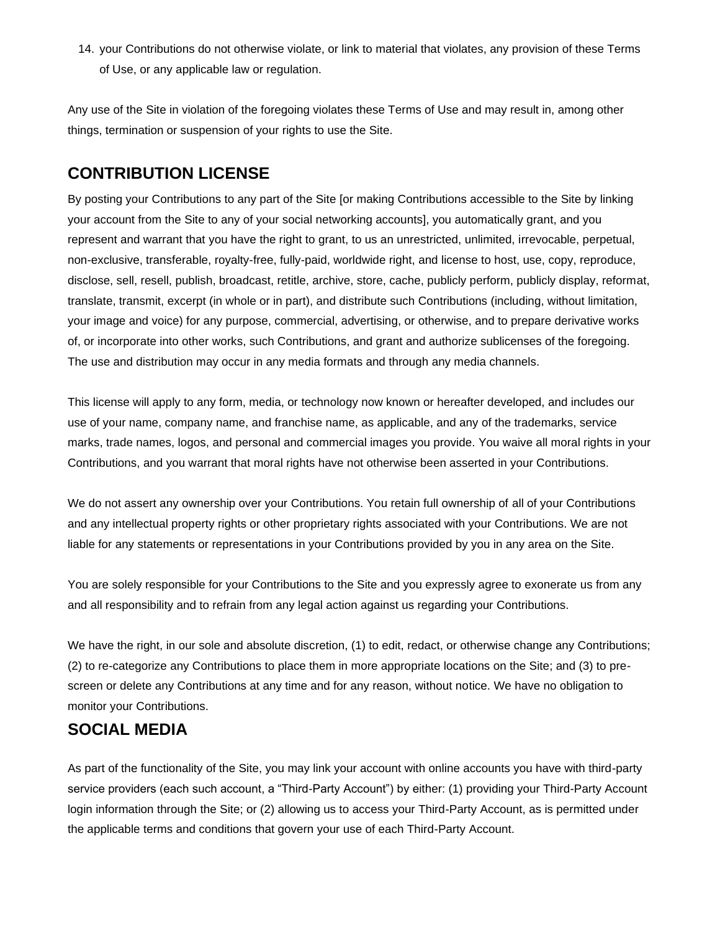14. your Contributions do not otherwise violate, or link to material that violates, any provision of these Terms of Use, or any applicable law or regulation.

Any use of the Site in violation of the foregoing violates these Terms of Use and may result in, among other things, termination or suspension of your rights to use the Site.

### **CONTRIBUTION LICENSE**

By posting your Contributions to any part of the Site [or making Contributions accessible to the Site by linking your account from the Site to any of your social networking accounts], you automatically grant, and you represent and warrant that you have the right to grant, to us an unrestricted, unlimited, irrevocable, perpetual, non-exclusive, transferable, royalty-free, fully-paid, worldwide right, and license to host, use, copy, reproduce, disclose, sell, resell, publish, broadcast, retitle, archive, store, cache, publicly perform, publicly display, reformat, translate, transmit, excerpt (in whole or in part), and distribute such Contributions (including, without limitation, your image and voice) for any purpose, commercial, advertising, or otherwise, and to prepare derivative works of, or incorporate into other works, such Contributions, and grant and authorize sublicenses of the foregoing. The use and distribution may occur in any media formats and through any media channels.

This license will apply to any form, media, or technology now known or hereafter developed, and includes our use of your name, company name, and franchise name, as applicable, and any of the trademarks, service marks, trade names, logos, and personal and commercial images you provide. You waive all moral rights in your Contributions, and you warrant that moral rights have not otherwise been asserted in your Contributions.

We do not assert any ownership over your Contributions. You retain full ownership of all of your Contributions and any intellectual property rights or other proprietary rights associated with your Contributions. We are not liable for any statements or representations in your Contributions provided by you in any area on the Site.

You are solely responsible for your Contributions to the Site and you expressly agree to exonerate us from any and all responsibility and to refrain from any legal action against us regarding your Contributions.

We have the right, in our sole and absolute discretion, (1) to edit, redact, or otherwise change any Contributions; (2) to re-categorize any Contributions to place them in more appropriate locations on the Site; and (3) to prescreen or delete any Contributions at any time and for any reason, without notice. We have no obligation to monitor your Contributions.

### **SOCIAL MEDIA**

As part of the functionality of the Site, you may link your account with online accounts you have with third-party service providers (each such account, a "Third-Party Account") by either: (1) providing your Third-Party Account login information through the Site; or (2) allowing us to access your Third-Party Account, as is permitted under the applicable terms and conditions that govern your use of each Third-Party Account.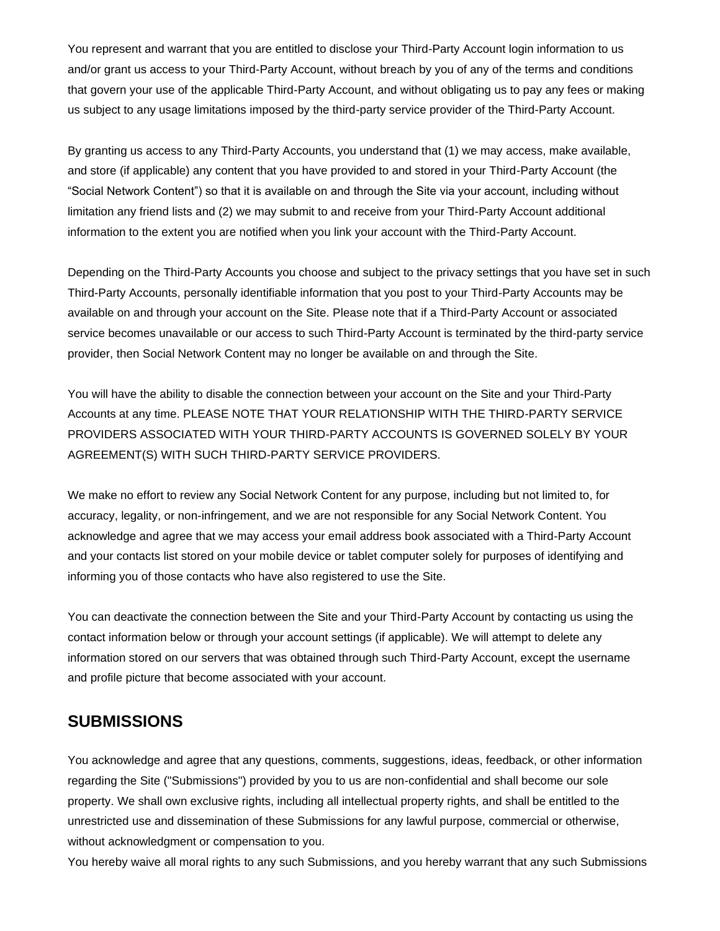You represent and warrant that you are entitled to disclose your Third-Party Account login information to us and/or grant us access to your Third-Party Account, without breach by you of any of the terms and conditions that govern your use of the applicable Third-Party Account, and without obligating us to pay any fees or making us subject to any usage limitations imposed by the third-party service provider of the Third-Party Account.

By granting us access to any Third-Party Accounts, you understand that (1) we may access, make available, and store (if applicable) any content that you have provided to and stored in your Third-Party Account (the "Social Network Content") so that it is available on and through the Site via your account, including without limitation any friend lists and (2) we may submit to and receive from your Third-Party Account additional information to the extent you are notified when you link your account with the Third-Party Account.

Depending on the Third-Party Accounts you choose and subject to the privacy settings that you have set in such Third-Party Accounts, personally identifiable information that you post to your Third-Party Accounts may be available on and through your account on the Site. Please note that if a Third-Party Account or associated service becomes unavailable or our access to such Third-Party Account is terminated by the third-party service provider, then Social Network Content may no longer be available on and through the Site.

You will have the ability to disable the connection between your account on the Site and your Third-Party Accounts at any time. PLEASE NOTE THAT YOUR RELATIONSHIP WITH THE THIRD-PARTY SERVICE PROVIDERS ASSOCIATED WITH YOUR THIRD-PARTY ACCOUNTS IS GOVERNED SOLELY BY YOUR AGREEMENT(S) WITH SUCH THIRD-PARTY SERVICE PROVIDERS.

We make no effort to review any Social Network Content for any purpose, including but not limited to, for accuracy, legality, or non-infringement, and we are not responsible for any Social Network Content. You acknowledge and agree that we may access your email address book associated with a Third-Party Account and your contacts list stored on your mobile device or tablet computer solely for purposes of identifying and informing you of those contacts who have also registered to use the Site.

You can deactivate the connection between the Site and your Third-Party Account by contacting us using the contact information below or through your account settings (if applicable). We will attempt to delete any information stored on our servers that was obtained through such Third-Party Account, except the username and profile picture that become associated with your account.

### **SUBMISSIONS**

You acknowledge and agree that any questions, comments, suggestions, ideas, feedback, or other information regarding the Site ("Submissions") provided by you to us are non-confidential and shall become our sole property. We shall own exclusive rights, including all intellectual property rights, and shall be entitled to the unrestricted use and dissemination of these Submissions for any lawful purpose, commercial or otherwise, without acknowledgment or compensation to you.

You hereby waive all moral rights to any such Submissions, and you hereby warrant that any such Submissions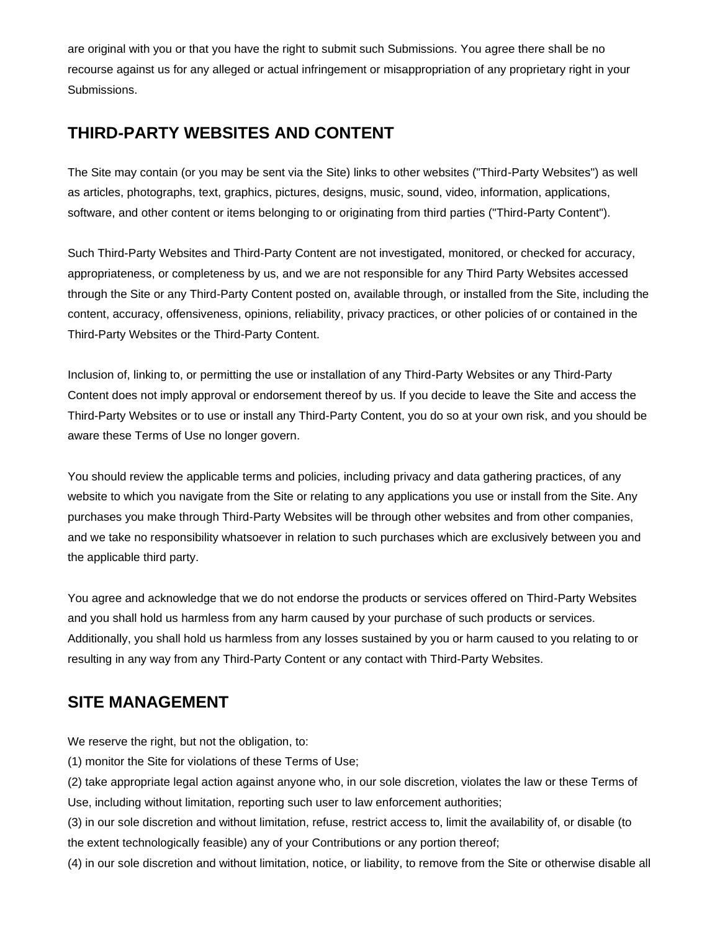are original with you or that you have the right to submit such Submissions. You agree there shall be no recourse against us for any alleged or actual infringement or misappropriation of any proprietary right in your Submissions.

### **THIRD-PARTY WEBSITES AND CONTENT**

The Site may contain (or you may be sent via the Site) links to other websites ("Third-Party Websites") as well as articles, photographs, text, graphics, pictures, designs, music, sound, video, information, applications, software, and other content or items belonging to or originating from third parties ("Third-Party Content").

Such Third-Party Websites and Third-Party Content are not investigated, monitored, or checked for accuracy, appropriateness, or completeness by us, and we are not responsible for any Third Party Websites accessed through the Site or any Third-Party Content posted on, available through, or installed from the Site, including the content, accuracy, offensiveness, opinions, reliability, privacy practices, or other policies of or contained in the Third-Party Websites or the Third-Party Content.

Inclusion of, linking to, or permitting the use or installation of any Third-Party Websites or any Third-Party Content does not imply approval or endorsement thereof by us. If you decide to leave the Site and access the Third-Party Websites or to use or install any Third-Party Content, you do so at your own risk, and you should be aware these Terms of Use no longer govern.

You should review the applicable terms and policies, including privacy and data gathering practices, of any website to which you navigate from the Site or relating to any applications you use or install from the Site. Any purchases you make through Third-Party Websites will be through other websites and from other companies, and we take no responsibility whatsoever in relation to such purchases which are exclusively between you and the applicable third party.

You agree and acknowledge that we do not endorse the products or services offered on Third-Party Websites and you shall hold us harmless from any harm caused by your purchase of such products or services. Additionally, you shall hold us harmless from any losses sustained by you or harm caused to you relating to or resulting in any way from any Third-Party Content or any contact with Third-Party Websites.

# **SITE MANAGEMENT**

We reserve the right, but not the obligation, to:

(1) monitor the Site for violations of these Terms of Use;

(2) take appropriate legal action against anyone who, in our sole discretion, violates the law or these Terms of Use, including without limitation, reporting such user to law enforcement authorities;

(3) in our sole discretion and without limitation, refuse, restrict access to, limit the availability of, or disable (to the extent technologically feasible) any of your Contributions or any portion thereof;

(4) in our sole discretion and without limitation, notice, or liability, to remove from the Site or otherwise disable all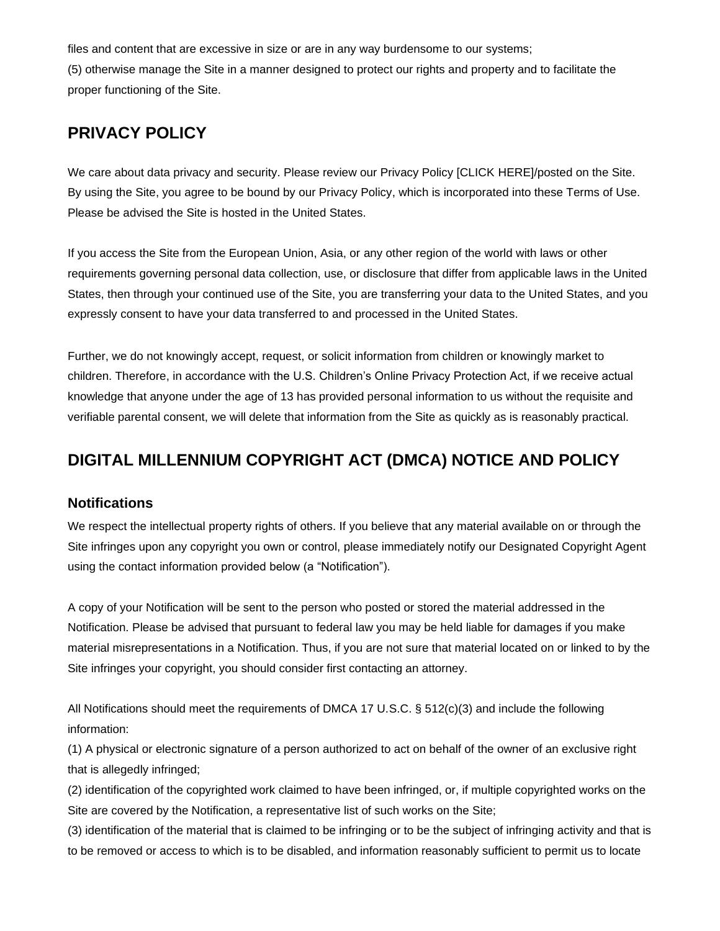files and content that are excessive in size or are in any way burdensome to our systems;

(5) otherwise manage the Site in a manner designed to protect our rights and property and to facilitate the proper functioning of the Site.

### **PRIVACY POLICY**

We care about data privacy and security. Please review our Privacy Policy [CLICK HERE]/posted on the Site. By using the Site, you agree to be bound by our Privacy Policy, which is incorporated into these Terms of Use. Please be advised the Site is hosted in the United States.

If you access the Site from the European Union, Asia, or any other region of the world with laws or other requirements governing personal data collection, use, or disclosure that differ from applicable laws in the United States, then through your continued use of the Site, you are transferring your data to the United States, and you expressly consent to have your data transferred to and processed in the United States.

Further, we do not knowingly accept, request, or solicit information from children or knowingly market to children. Therefore, in accordance with the U.S. Children's Online Privacy Protection Act, if we receive actual knowledge that anyone under the age of 13 has provided personal information to us without the requisite and verifiable parental consent, we will delete that information from the Site as quickly as is reasonably practical.

# **DIGITAL MILLENNIUM COPYRIGHT ACT (DMCA) NOTICE AND POLICY**

#### **Notifications**

We respect the intellectual property rights of others. If you believe that any material available on or through the Site infringes upon any copyright you own or control, please immediately notify our Designated Copyright Agent using the contact information provided below (a "Notification").

A copy of your Notification will be sent to the person who posted or stored the material addressed in the Notification. Please be advised that pursuant to federal law you may be held liable for damages if you make material misrepresentations in a Notification. Thus, if you are not sure that material located on or linked to by the Site infringes your copyright, you should consider first contacting an attorney.

All Notifications should meet the requirements of DMCA 17 U.S.C. § 512(c)(3) and include the following information:

(1) A physical or electronic signature of a person authorized to act on behalf of the owner of an exclusive right that is allegedly infringed;

(2) identification of the copyrighted work claimed to have been infringed, or, if multiple copyrighted works on the Site are covered by the Notification, a representative list of such works on the Site;

(3) identification of the material that is claimed to be infringing or to be the subject of infringing activity and that is to be removed or access to which is to be disabled, and information reasonably sufficient to permit us to locate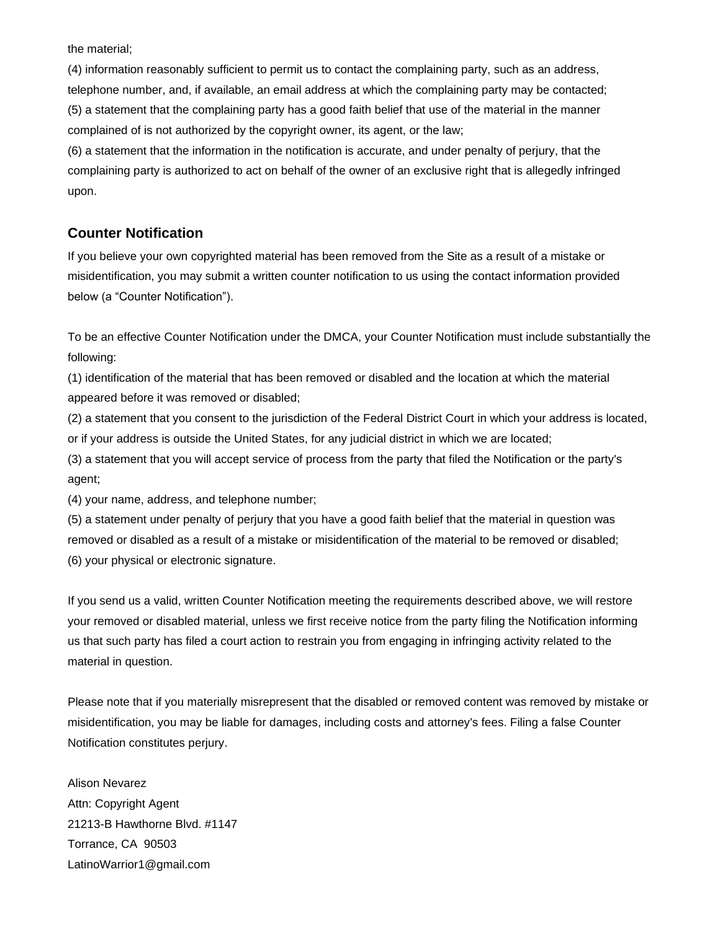the material;

(4) information reasonably sufficient to permit us to contact the complaining party, such as an address, telephone number, and, if available, an email address at which the complaining party may be contacted; (5) a statement that the complaining party has a good faith belief that use of the material in the manner complained of is not authorized by the copyright owner, its agent, or the law;

(6) a statement that the information in the notification is accurate, and under penalty of perjury, that the complaining party is authorized to act on behalf of the owner of an exclusive right that is allegedly infringed upon.

#### **Counter Notification**

If you believe your own copyrighted material has been removed from the Site as a result of a mistake or misidentification, you may submit a written counter notification to us using the contact information provided below (a "Counter Notification").

To be an effective Counter Notification under the DMCA, your Counter Notification must include substantially the following:

(1) identification of the material that has been removed or disabled and the location at which the material appeared before it was removed or disabled;

(2) a statement that you consent to the jurisdiction of the Federal District Court in which your address is located, or if your address is outside the United States, for any judicial district in which we are located;

(3) a statement that you will accept service of process from the party that filed the Notification or the party's agent;

(4) your name, address, and telephone number;

(5) a statement under penalty of perjury that you have a good faith belief that the material in question was removed or disabled as a result of a mistake or misidentification of the material to be removed or disabled; (6) your physical or electronic signature.

If you send us a valid, written Counter Notification meeting the requirements described above, we will restore your removed or disabled material, unless we first receive notice from the party filing the Notification informing us that such party has filed a court action to restrain you from engaging in infringing activity related to the material in question.

Please note that if you materially misrepresent that the disabled or removed content was removed by mistake or misidentification, you may be liable for damages, including costs and attorney's fees. Filing a false Counter Notification constitutes perjury.

Alison Nevarez Attn: Copyright Agent 21213-B Hawthorne Blvd. #1147 Torrance, CA 90503 LatinoWarrior1@gmail.com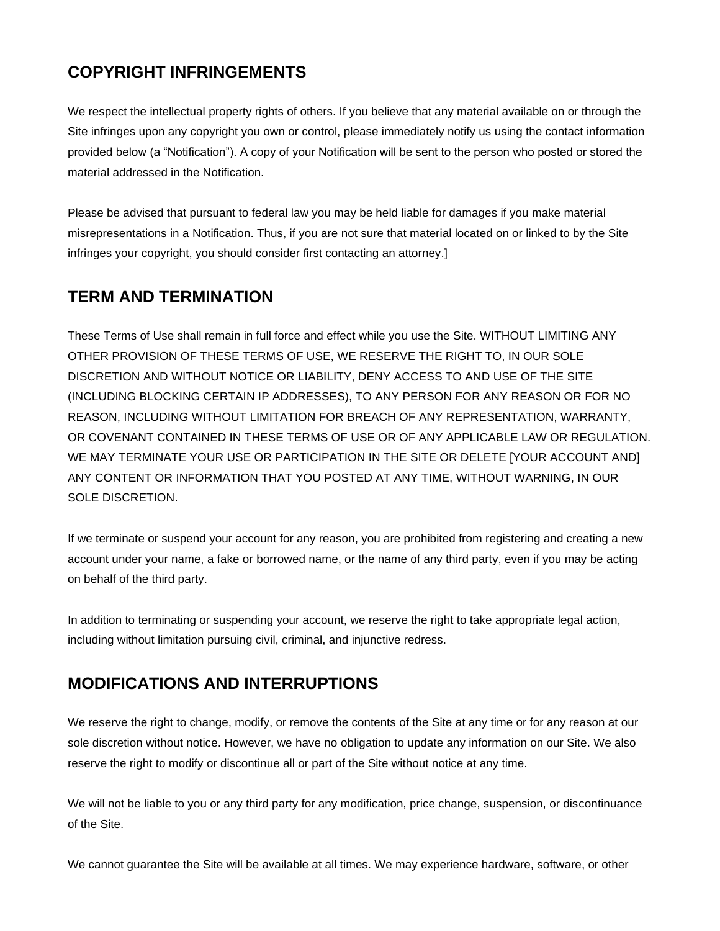# **COPYRIGHT INFRINGEMENTS**

We respect the intellectual property rights of others. If you believe that any material available on or through the Site infringes upon any copyright you own or control, please immediately notify us using the contact information provided below (a "Notification"). A copy of your Notification will be sent to the person who posted or stored the material addressed in the Notification.

Please be advised that pursuant to federal law you may be held liable for damages if you make material misrepresentations in a Notification. Thus, if you are not sure that material located on or linked to by the Site infringes your copyright, you should consider first contacting an attorney.]

# **TERM AND TERMINATION**

These Terms of Use shall remain in full force and effect while you use the Site. WITHOUT LIMITING ANY OTHER PROVISION OF THESE TERMS OF USE, WE RESERVE THE RIGHT TO, IN OUR SOLE DISCRETION AND WITHOUT NOTICE OR LIABILITY, DENY ACCESS TO AND USE OF THE SITE (INCLUDING BLOCKING CERTAIN IP ADDRESSES), TO ANY PERSON FOR ANY REASON OR FOR NO REASON, INCLUDING WITHOUT LIMITATION FOR BREACH OF ANY REPRESENTATION, WARRANTY, OR COVENANT CONTAINED IN THESE TERMS OF USE OR OF ANY APPLICABLE LAW OR REGULATION. WE MAY TERMINATE YOUR USE OR PARTICIPATION IN THE SITE OR DELETE [YOUR ACCOUNT AND] ANY CONTENT OR INFORMATION THAT YOU POSTED AT ANY TIME, WITHOUT WARNING, IN OUR SOLE DISCRETION.

If we terminate or suspend your account for any reason, you are prohibited from registering and creating a new account under your name, a fake or borrowed name, or the name of any third party, even if you may be acting on behalf of the third party.

In addition to terminating or suspending your account, we reserve the right to take appropriate legal action, including without limitation pursuing civil, criminal, and injunctive redress.

# **MODIFICATIONS AND INTERRUPTIONS**

We reserve the right to change, modify, or remove the contents of the Site at any time or for any reason at our sole discretion without notice. However, we have no obligation to update any information on our Site. We also reserve the right to modify or discontinue all or part of the Site without notice at any time.

We will not be liable to you or any third party for any modification, price change, suspension, or discontinuance of the Site.

We cannot guarantee the Site will be available at all times. We may experience hardware, software, or other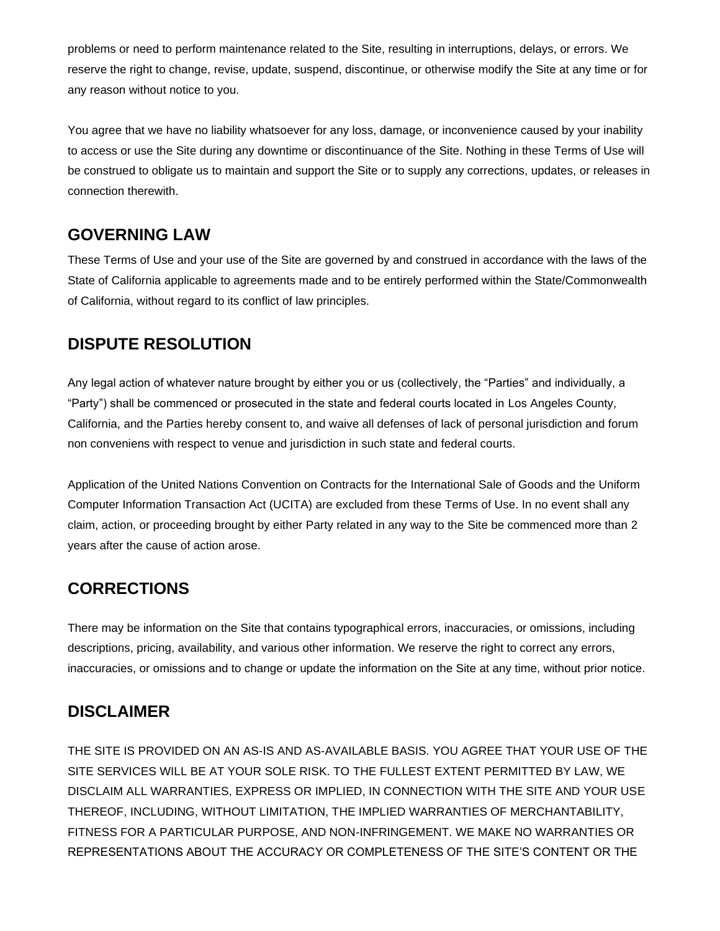problems or need to perform maintenance related to the Site, resulting in interruptions, delays, or errors. We reserve the right to change, revise, update, suspend, discontinue, or otherwise modify the Site at any time or for any reason without notice to you.

You agree that we have no liability whatsoever for any loss, damage, or inconvenience caused by your inability to access or use the Site during any downtime or discontinuance of the Site. Nothing in these Terms of Use will be construed to obligate us to maintain and support the Site or to supply any corrections, updates, or releases in connection therewith.

### **GOVERNING LAW**

These Terms of Use and your use of the Site are governed by and construed in accordance with the laws of the State of California applicable to agreements made and to be entirely performed within the State/Commonwealth of California, without regard to its conflict of law principles.

# **DISPUTE RESOLUTION**

Any legal action of whatever nature brought by either you or us (collectively, the "Parties" and individually, a "Party") shall be commenced or prosecuted in the state and federal courts located in Los Angeles County, California, and the Parties hereby consent to, and waive all defenses of lack of personal jurisdiction and forum non conveniens with respect to venue and jurisdiction in such state and federal courts.

Application of the United Nations Convention on Contracts for the International Sale of Goods and the Uniform Computer Information Transaction Act (UCITA) are excluded from these Terms of Use. In no event shall any claim, action, or proceeding brought by either Party related in any way to the Site be commenced more than 2 years after the cause of action arose.

# **CORRECTIONS**

There may be information on the Site that contains typographical errors, inaccuracies, or omissions, including descriptions, pricing, availability, and various other information. We reserve the right to correct any errors, inaccuracies, or omissions and to change or update the information on the Site at any time, without prior notice.

### **DISCLAIMER**

THE SITE IS PROVIDED ON AN AS-IS AND AS-AVAILABLE BASIS. YOU AGREE THAT YOUR USE OF THE SITE SERVICES WILL BE AT YOUR SOLE RISK. TO THE FULLEST EXTENT PERMITTED BY LAW, WE DISCLAIM ALL WARRANTIES, EXPRESS OR IMPLIED, IN CONNECTION WITH THE SITE AND YOUR USE THEREOF, INCLUDING, WITHOUT LIMITATION, THE IMPLIED WARRANTIES OF MERCHANTABILITY, FITNESS FOR A PARTICULAR PURPOSE, AND NON-INFRINGEMENT. WE MAKE NO WARRANTIES OR REPRESENTATIONS ABOUT THE ACCURACY OR COMPLETENESS OF THE SITE'S CONTENT OR THE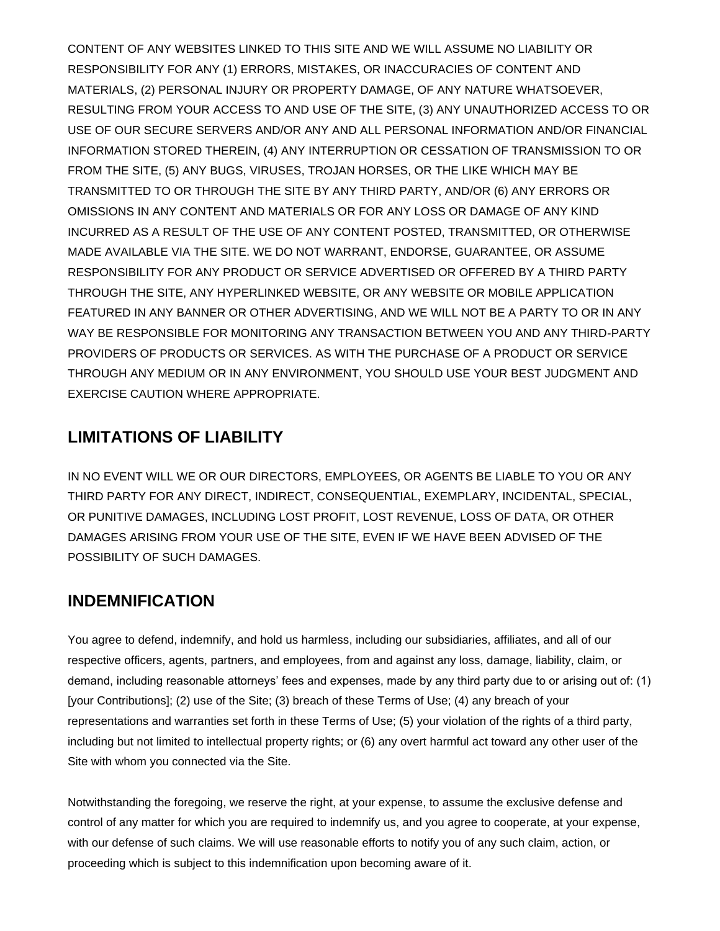CONTENT OF ANY WEBSITES LINKED TO THIS SITE AND WE WILL ASSUME NO LIABILITY OR RESPONSIBILITY FOR ANY (1) ERRORS, MISTAKES, OR INACCURACIES OF CONTENT AND MATERIALS, (2) PERSONAL INJURY OR PROPERTY DAMAGE, OF ANY NATURE WHATSOEVER, RESULTING FROM YOUR ACCESS TO AND USE OF THE SITE, (3) ANY UNAUTHORIZED ACCESS TO OR USE OF OUR SECURE SERVERS AND/OR ANY AND ALL PERSONAL INFORMATION AND/OR FINANCIAL INFORMATION STORED THEREIN, (4) ANY INTERRUPTION OR CESSATION OF TRANSMISSION TO OR FROM THE SITE, (5) ANY BUGS, VIRUSES, TROJAN HORSES, OR THE LIKE WHICH MAY BE TRANSMITTED TO OR THROUGH THE SITE BY ANY THIRD PARTY, AND/OR (6) ANY ERRORS OR OMISSIONS IN ANY CONTENT AND MATERIALS OR FOR ANY LOSS OR DAMAGE OF ANY KIND INCURRED AS A RESULT OF THE USE OF ANY CONTENT POSTED, TRANSMITTED, OR OTHERWISE MADE AVAILABLE VIA THE SITE. WE DO NOT WARRANT, ENDORSE, GUARANTEE, OR ASSUME RESPONSIBILITY FOR ANY PRODUCT OR SERVICE ADVERTISED OR OFFERED BY A THIRD PARTY THROUGH THE SITE, ANY HYPERLINKED WEBSITE, OR ANY WEBSITE OR MOBILE APPLICATION FEATURED IN ANY BANNER OR OTHER ADVERTISING, AND WE WILL NOT BE A PARTY TO OR IN ANY WAY BE RESPONSIBLE FOR MONITORING ANY TRANSACTION BETWEEN YOU AND ANY THIRD-PARTY PROVIDERS OF PRODUCTS OR SERVICES. AS WITH THE PURCHASE OF A PRODUCT OR SERVICE THROUGH ANY MEDIUM OR IN ANY ENVIRONMENT, YOU SHOULD USE YOUR BEST JUDGMENT AND EXERCISE CAUTION WHERE APPROPRIATE.

# **LIMITATIONS OF LIABILITY**

IN NO EVENT WILL WE OR OUR DIRECTORS, EMPLOYEES, OR AGENTS BE LIABLE TO YOU OR ANY THIRD PARTY FOR ANY DIRECT, INDIRECT, CONSEQUENTIAL, EXEMPLARY, INCIDENTAL, SPECIAL, OR PUNITIVE DAMAGES, INCLUDING LOST PROFIT, LOST REVENUE, LOSS OF DATA, OR OTHER DAMAGES ARISING FROM YOUR USE OF THE SITE, EVEN IF WE HAVE BEEN ADVISED OF THE POSSIBILITY OF SUCH DAMAGES.

# **INDEMNIFICATION**

You agree to defend, indemnify, and hold us harmless, including our subsidiaries, affiliates, and all of our respective officers, agents, partners, and employees, from and against any loss, damage, liability, claim, or demand, including reasonable attorneys' fees and expenses, made by any third party due to or arising out of: (1) [your Contributions]; (2) use of the Site; (3) breach of these Terms of Use; (4) any breach of your representations and warranties set forth in these Terms of Use; (5) your violation of the rights of a third party, including but not limited to intellectual property rights; or (6) any overt harmful act toward any other user of the Site with whom you connected via the Site.

Notwithstanding the foregoing, we reserve the right, at your expense, to assume the exclusive defense and control of any matter for which you are required to indemnify us, and you agree to cooperate, at your expense, with our defense of such claims. We will use reasonable efforts to notify you of any such claim, action, or proceeding which is subject to this indemnification upon becoming aware of it.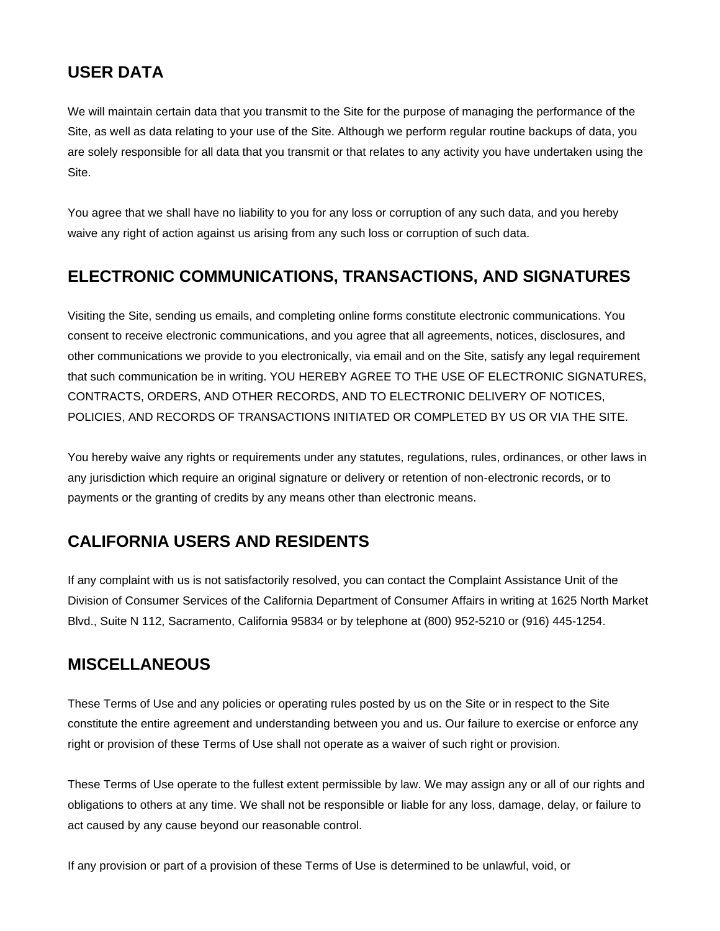# **USER DATA**

We will maintain certain data that you transmit to the Site for the purpose of managing the performance of the Site, as well as data relating to your use of the Site. Although we perform regular routine backups of data, you are solely responsible for all data that you transmit or that relates to any activity you have undertaken using the Site.

You agree that we shall have no liability to you for any loss or corruption of any such data, and you hereby waive any right of action against us arising from any such loss or corruption of such data.

### **ELECTRONIC COMMUNICATIONS, TRANSACTIONS, AND SIGNATURES**

Visiting the Site, sending us emails, and completing online forms constitute electronic communications. You consent to receive electronic communications, and you agree that all agreements, notices, disclosures, and other communications we provide to you electronically, via email and on the Site, satisfy any legal requirement that such communication be in writing. YOU HEREBY AGREE TO THE USE OF ELECTRONIC SIGNATURES, CONTRACTS, ORDERS, AND OTHER RECORDS, AND TO ELECTRONIC DELIVERY OF NOTICES, POLICIES, AND RECORDS OF TRANSACTIONS INITIATED OR COMPLETED BY US OR VIA THE SITE.

You hereby waive any rights or requirements under any statutes, regulations, rules, ordinances, or other laws in any jurisdiction which require an original signature or delivery or retention of non-electronic records, or to payments or the granting of credits by any means other than electronic means.

# **CALIFORNIA USERS AND RESIDENTS**

If any complaint with us is not satisfactorily resolved, you can contact the Complaint Assistance Unit of the Division of Consumer Services of the California Department of Consumer Affairs in writing at 1625 North Market Blvd., Suite N 112, Sacramento, California 95834 or by telephone at (800) 952-5210 or (916) 445-1254.

# **MISCELLANEOUS**

These Terms of Use and any policies or operating rules posted by us on the Site or in respect to the Site constitute the entire agreement and understanding between you and us. Our failure to exercise or enforce any right or provision of these Terms of Use shall not operate as a waiver of such right or provision.

These Terms of Use operate to the fullest extent permissible by law. We may assign any or all of our rights and obligations to others at any time. We shall not be responsible or liable for any loss, damage, delay, or failure to act caused by any cause beyond our reasonable control.

If any provision or part of a provision of these Terms of Use is determined to be unlawful, void, or